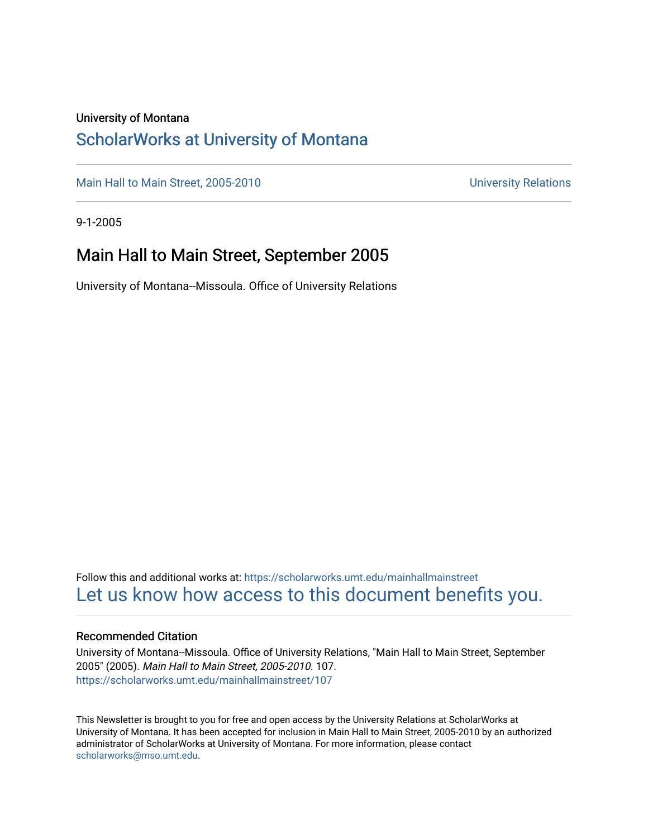### University of Montana

### [ScholarWorks at University of Montana](https://scholarworks.umt.edu/)

[Main Hall to Main Street, 2005-2010](https://scholarworks.umt.edu/mainhallmainstreet) Main Hall to Main Street, 2005-2010

9-1-2005

### Main Hall to Main Street, September 2005

University of Montana--Missoula. Office of University Relations

Follow this and additional works at: [https://scholarworks.umt.edu/mainhallmainstreet](https://scholarworks.umt.edu/mainhallmainstreet?utm_source=scholarworks.umt.edu%2Fmainhallmainstreet%2F107&utm_medium=PDF&utm_campaign=PDFCoverPages) [Let us know how access to this document benefits you.](https://goo.gl/forms/s2rGfXOLzz71qgsB2) 

#### Recommended Citation

University of Montana--Missoula. Office of University Relations, "Main Hall to Main Street, September 2005" (2005). Main Hall to Main Street, 2005-2010. 107. [https://scholarworks.umt.edu/mainhallmainstreet/107](https://scholarworks.umt.edu/mainhallmainstreet/107?utm_source=scholarworks.umt.edu%2Fmainhallmainstreet%2F107&utm_medium=PDF&utm_campaign=PDFCoverPages)

This Newsletter is brought to you for free and open access by the University Relations at ScholarWorks at University of Montana. It has been accepted for inclusion in Main Hall to Main Street, 2005-2010 by an authorized administrator of ScholarWorks at University of Montana. For more information, please contact [scholarworks@mso.umt.edu.](mailto:scholarworks@mso.umt.edu)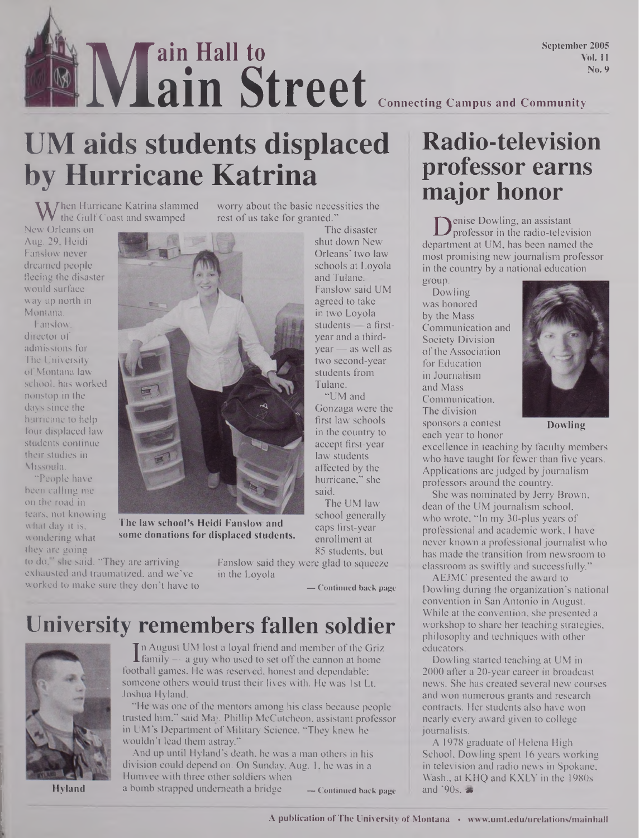### AAt **M ain Hall to ain Street** September 2005 Vol. 11 No. 9 **Connecting Campus and Community**

# **UM aids students displaced by Hurricane Katrina**

**W** hen Hurricane Katrina slammed<br>w Orleans on the Gulf Coast and swamped

New Orleans on Aug. 29, Heidi Fanslow never dreamed people fleeing the disaster would surface way up north in Montana.

Fanslow, director of admissions for The University of Montana law school, has worked nonstop in the days since the hurricane to help four displaced law students continue their studies in Missoula.

"People have been calling me on the road in tears, not knowing what day it is, wondering what they are going



The law school's Heidi Fanslow and some donations for displaced students.

to do, ' she said. "They are arriving Fanslow said they were glad to squeeze exhausted and traumatized, and we've in the Loyola exhausted and traumatized, and we've worked to make sure they don'<sup>t</sup> have to **\_ Continued back page**

worry about the basic necessities the rest of us take for granted."

> The disaster shut down New Orleans' two law schools at Loyola and Tulane. Fanslow said UM agreed to take in two Loyola students — a firstyear and a thirdyear — as well as two second-year students from Tulane.

"UM and Gonzaga were the first law schools in the country to accept first-year law students affected by the hurricane," she said. The UM law

school generally caps first-year enrollment at 85 students, but

## **University remembers fallen soldier**



Hyland

If a range to set a loyal friend and member of the Gritanii  $\frac{1}{2}$  family  $\frac{1}{2}$  a guy who used to set off the cannon at home othall games. He was reserved, honest and dependable n August UM lost a loyal friend and member ofthe Griz football games. He was reserved, honest and dependable; someone others would trust their lives with. He was 1st Lt. Joshua Hyland.

"He was one of the mentors among his class because people trusted him," said Maj. Phillip McCutcheon, assistant professor in UM's Department of Military Science. "They knew he wouldn't lead them astray."

And up until Hyland's death, he was a man others in his division could depend on. On Sunday, Aug. 1, he was in a Humvee with three other soldiers when <sup>a</sup> bomb strapped underneath <sup>a</sup> bridge **\_Continued back page**

## **Radio-television professor earns major honor**

**D**enise Dowling, an assistant<br>partment at UM, has been named the enise Dowling, an assistant professor in the radio-television most promising newjournalism professor in the country by a national education

group. Dowling was honored by the Mass Communication and Society Division of the Association for Education in Journalism and Mass Communication. The division sponsors a contest each year to honor



Dowling

excellence in teaching by faculty members who have taught for fewer than five years. Applications are judged by journalism professors around the country.

She was nominated by Jerry Brown, dean of the UM journalism school, who wrote, "In my 30-plus years of professional and academic work, I have never known a professional journalist who has made the transition from newsroom to classroom as swiftly and successfully."

AEJMC presented the award to Dowling during the organization's national convention in San Antonio in August. While at the convention, she presented a workshop to share her teaching strategies, philosophy and techniques with other educators.

Dowling started teaching at UM in 2000 after a 20-year career in broadcast news. She has created several new courses and won numerous grants and research contracts. Her students also have won nearly every award given to college journalists.

A 1978 graduate of Helena High School, Dowling spent 16 years working in television and radio news in Spokane, Wash., at KHQ and KXLY in the 1980s and  $'90s. =$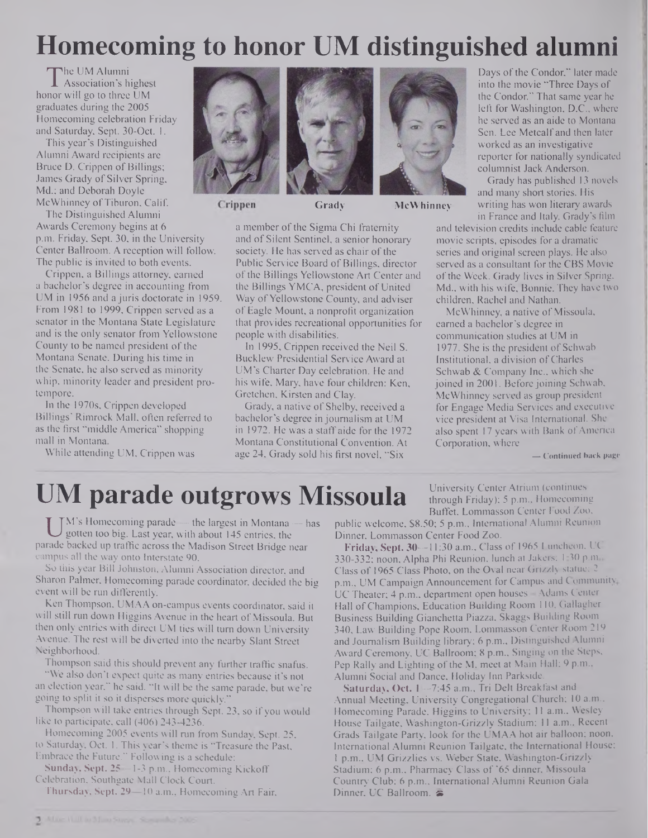# **Homecoming to honor UM distinguished alumni**

 $\prod_{\text{nor}}$ The UM Alumni Association's highest honor will go to three UM graduates during the 2005 Homecoming celebration Friday and Saturday, Sept. 30-Oct. 1.

This year's Distinguished Alumni Award recipients are Bruce D. Crippen of Billings; James Grady of Silver Spring, Md.; and Deborah Doyle McWhinney of Tiburon, Calif.

Crippen The Distinguished Alumni Awards Ceremony begins at 6 p.m. Friday, Sept. 30, in the University Center Ballroom. A reception will follow. The public is invited to both events.

Crippen, a Billings attorney, earned a bachelor's degree in accounting from UM in 1956 and a juris doctorate in 1959. From 1981 to 1999, Crippen served as a senator in the Montana State Legislature and is the only senator from Yellowstone County to be named president of the Montana Senate. During his time in the Senate, he also served as minority whip, minority leader and president protempore.

In the 1970s, Crippen developed Billings' Rimrock Mall, often referred to as the first "middle America" shopping mall in Montana.

While attending UM, Crippen was





**Grady McWhinney**

a member of the Sigma Chi fraternity and of Silent Sentinel, a senior honorary society. He has served as chair of the Public Service Board of Billings, director of the Billings Yellowstone Art Center and the Billings YMCA, president of United Way of Yellowstone County, and adviser ofEagle Mount, a nonprofit organization that provides recreational opportunities for people with disabilities.

In 1995, Crippen received the Neil S. Bucklew Presidential Service Award at UM's Charter Day celebration. He and his wife, Mary, have four children: Ken, Gretchen, Kirsten and Clay.

Grady, a native of Shelby, received a bachelor's degree in journalism at UM in 1972. He was a staff aide for the 1972 Montana Constitutional Convention. At age 24, Grady sold his first novel, "Six

Days of the Condor," later made into the movie "Three Days of the Condor." That same year he left for Washington, D.C., where he served as an aide to Montana Sen. Lee Metcalf and then later worked as an investigative reporter for nationally syndicated columnist Jack Anderson.

Grady has published 13 novels and many short stories. His writing has won literary awards in France and Italy. Grady's film

and television credits include cable feature movie scripts, episodes for a dramatic series and original screen plays. He also served as a consultant for the CBS Movie of the Week. Grady lives in Silver Spring, Md., with his wife, Bonnie. They have two children, Rachel and Nathan.

McWhinney, a native of Missoula, earned a bachelor's degree in communication studies at UM in 1977. She is the president of Schwab Institutional, a division ofCharles Schwab & Company Inc., which she joined in 2001. Before joining Schwab, McWhinney served as group president for Engage Media Services and executive vice president at Visa International. She also spent 17 years with Bank of America Corporation, where

University Center Atrium (continues through Friday); 5 p.m., Homecoming

**— Continued back page**

# **UM parade outgrows Missoula**

U I'M is riomecoming parade — the fargest in Montana — has protein too big. Last year, with about 145 entries, the Indeed backed up traffic across the Madison Street Bridge near M's Homecoming parade — the largest in Montana — has gotten too big. Last year, with about 145 entries, the campus all the way onto Interstate 90.

So this year Bill Johnston, Alumni Association director, and Sharon Palmer, Homecoming parade coordinator, decided the big event will be run differently.

Ken Thompson, UMAA on-campus events coordinator, said it will still run down Higgins Avenue in the heart of Missoula. But then only entries with direct UM ties will turn down University Avenue. The rest will be diverted into the nearby Slant Street Neighborhood.

Thompson said this should prevent any further traffic snafus.

"We also don't expect quite as many entries because it's not an election year," he said. "It will be the same parade, but we're going to split it so it disperses more quickly."

Thompson will take entries through Sept. 23, so if you would like to participate, call (406) 243-4236.

Homecoming 2005 events will run from Sunday, Sept. 25, to Saturday, Oct. 1. This year's theme is "Treasure the Past, Embrace the Future." Following is a schedule:

**Sunday, Sept. 25—**1-3 p.m.. Homecoming Kickoff Celebration, Southgate Mall Clock Court.

**Thursday, Sept. 29—10 a.m.. Homecoming Art Fair,**

Buffet, Lommasson Center Food Zoo, public welcome, \$8.50; 5 p.m., International Alumni Reunion Dinner, Lommasson Center Food Zoo.

**Friday, Sept. 30—**11:30 **a.m..** Class of 1965 Luncheon, UC 330-332; noon, Alpha Phi Reunion, lunch at Jakers; 1.30 p.m., Class of 1965 Class Photo, on the Oval near Grizzly statue; <sup>2</sup> p.m., UM Campaign Announcement for Campus and Community. UC Theater; <sup>4</sup> p.m., department open houses - Adams Center Hall ofChampions, Education Building Room 110, Gallagher Business Building Gianchetta Piazza, Skaggs Building Room 340, Law Building Pope Room, Lommasson Center Room 219 and Journalism Building library; 6 p.m., Distinguished Alumni Award Ceremony, UC Ballroom; 8 p.m., Singing on the Steps, Pep Rally and Lighting of the M, meet at Main Hall; 9 p.m., Alumni Social and Dance, Holiday Inn Parkside.

**Saturday, Oct.** 1—7:45 a.m., Tri Delt Breakfast and Annual Meeting, University Congregational Church; 10 a.m., Homecoming Parade, Higgins to University; <sup>11</sup> a.m., Wesley House Tailgate, Washington-Grizzly Stadium; 11 a.m., Recent Grads Tailgate Party, look for the UMAA hot air balloon; noon, International Alumni Reunion Tailgate, the International House; <sup>1</sup> p.m., UM Grizzlies vs. Weber State, Washington-Grizzly Stadium; <sup>6</sup> p.m., Pharmacy Class of'<sup>65</sup> dinner, Missoula Country Club; 6 p.m., International Alumni Reunion Gala Dinner, UC Ballroom.  $\approx$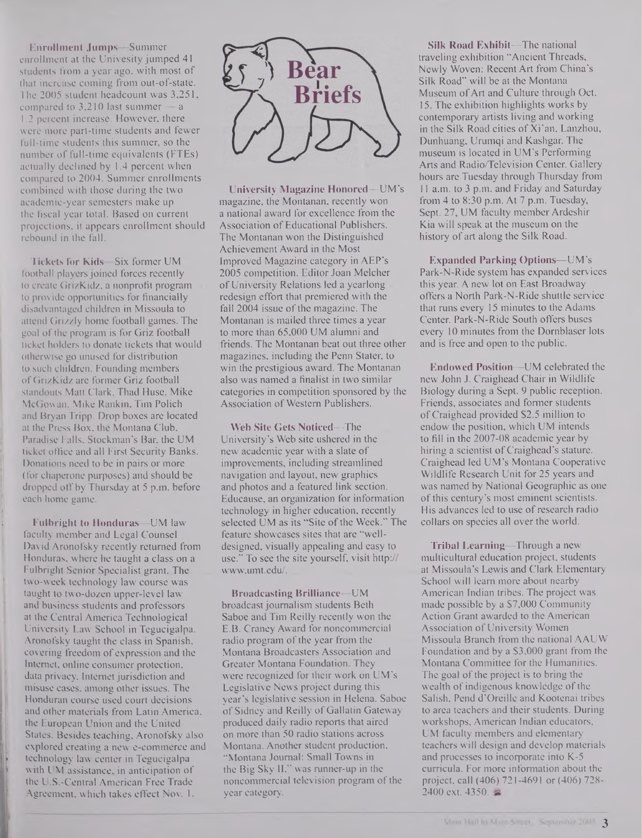**Enrollment Jumps—**Summer enrollment at the Univesity jumped 41 students from a year ago, with most of that increase coming from out-of-state. The 2005 student headcount was 3,251, compared to  $3,210$  last summer  $- a$ 1.2 percent increase. However, there were more part-time students and fewer full-time students this summer, so the number of full-time equivalents (FTEs) actually declined by 1.4 percent when compared to 2004. Summer enrollments combined with those during the two acadcmic-year semesters make up the fiscal year total. Based on current projections, it appears enrollment should rebound in the fall.

**Tickets for Kids—**Six former UM football players joined forces recently to create GrizKidz, a nonprofit program to provide opportunities for financially disadvantaged children in Missoula to attend Grizzly home football games. The goal of the program is for Griz football ticket holders to donate tickets that would otherwise go unused for distribution to such children. Founding members of GrizKidz are former Griz football standouts Matt Clark, Thad Huse, Mike McGowan, Mike Rankin, Tim Polich and Bryan Tripp. Drop boxes are located at the Press Box, the Montana Club, Paradise Falls, Stockman's Bar, the UM ticket office and all First Security Banks. Donations need to be in pairs or more (for chaperone purposes) and should be dropped off by Thursday at 5 p.m. before each home game.

**Fulbright to Honduras—**UM law faculty member and Legal Counsel David Aronofsky recently returned from Honduras, where he taught a class on a Fulbright Senior Specialist grant. The two-week technology law course was taught to two-dozen upper-level law and business students and professors at the Central America Technological University Law School in Tegucigalpa. Aronofsky taught the class in Spanish, covering freedom of expression and the Internet, online consumer protection, data privacy, Internet jurisdiction and misuse cases, among other issues. The Honduran course used court decisions and other materials from Latin America, the European Union and the United States. Besides teaching, Aronofsky also explored creating a new e-commerce and technology law center in Tegucigalpa with UM assistance, in anticipation of the U.S.-Central American Free Trade Agreement, which takes effect Nov. 1.



**University Magazine Honored—UM's** magazine, the Montanan, recently won a national award for excellence from the Association of Educational Publishers. The Montanan won the Distinguished Achievement Award in the Most Improved Magazine category in AEP's 2005 competition. Editor Joan Melcher ofUniversity Relations led a yearlong redesign effort that premiered with the fall 2004 issue of the magazine. The Montanan is mailed three times a year to more than 65,000 UM alumni and friends. The Montanan beat out three other magazines, including the Penn Stater, to win the prestigious award. The Montanan also was named a finalist in two similar categories in competition sponsored by the Association of Western Publishers.

**Web Site Gets Noticed—**The University's Web site ushered in the new academic year with a slate of improvements, including streamlined navigation and layout, new graphics and photos and a featured link section. Educause, an organization for information technology in higher education, recently selected UM as its "Site of the Week." The feature showcases sites that are "welldesigned, visually appealing and easy to use." To see the site yourself, visit http:// [www.umt.edu/](http://www.umt.edu/).

**Broadcasting Brilliance—**UM broadcast journalism students Beth Saboe and Tim Reilly recently won the E.B. Craney Award for noncommercial radio program of the year from the Montana Broadcasters Association and Greater Montana Foundation. They were recognized for their work on UM's Legislative News project during this year's legislative session in Helena. Saboe of Sidney and Reilly of Gallatin Gateway produced daily radio reports that aired on more than 50 radio stations across Montana. Another student production, "Montana Journal: Small Towns in the Big Sky II," was runner-up in the noncommercial television program of the year category.

**Silk Road Exhibit—**The national traveling exhibition "Ancient Threads, Newly Woven: Recent Art from China's Silk Road" will be at the Montana Museum ofArt and Culture through Oct. 15. The exhibition highlights works by contemporary artists living and working in the Silk Road cities of Xi'an, Lanzhou, Dunhuang, Urumqi and Kashgar. The museum is located in UM's Performing Arts and Radio/Television Center. Gallery hours are Tuesday through Thursday from 11 a.m. to 3 p.m. and Friday and Saturday from 4 to 8:30 p.m. At 7 p.m. Tuesday, Sept. 27, UM faculty member Ardeshir Kia will speak at the museum on the history of art along the Silk Road.

**Expanded Parking Options—**UM's **Park-N-Ride** system has expanded services this year. A new lot on East Broadway offers a North Park-N-Ride shuttle service **that** runs every 15 minutes to the Adams Center. Park-N-Ride South offers buses every 10 minutes from the Dornblaser lots and is free and open to the **public.**

**Endowed Position—**UM celebrated the new John J. Craighead Chair in Wildlife Biology during a Sept. 9 public reception. Friends, associates and former students ofCraighead provided \$2.5 million to endow the position, which UM intends to fill in the 2007-08 academic year by hiring a scientist of Craighead's stature. Craighead led UM's Montana Cooperative Wildlife Research Unit for 25 years and was named by National Geographic as one of this century's most eminent scientists. His advances led to use of research radio collars on species all over the world.

**Tribal Learning—**Through a new multicultural education project, students at Missoula's Lewis and Clark Elementary School will learn more about nearby American Indian tribes. The project was made possible by a \$7,000 Community Action Grant awarded to the American Association of University Women Missoula Branch from the national AAUW Foundation and by a \$3,000 grant from the Montana Committee for the Humanities. The goal of the project is to bring the wealth of indigenous knowledge of the Salish, Pend d'Oreille and Kootenai tribes to area teachers and their students. During workshops, American Indian educators, UM faculty members and elementary teachers will design and develop materials and processes to incorporate into K-5 curricula. For more information about the project, call (406) 721-4691 or (406) 728- 2400 ext. 4350.